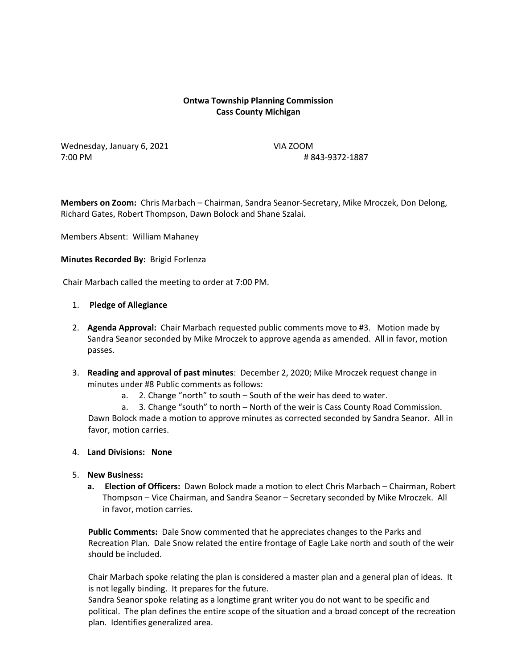# **Ontwa Township Planning Commission Cass County Michigan**

Wednesday, January 6, 2021 VIA ZOOM 7:00 PM # 843-9372-1887

**Members on Zoom:** Chris Marbach – Chairman, Sandra Seanor-Secretary, Mike Mroczek, Don Delong, Richard Gates, Robert Thompson, Dawn Bolock and Shane Szalai.

Members Absent: William Mahaney

#### **Minutes Recorded By:** Brigid Forlenza

Chair Marbach called the meeting to order at 7:00 PM.

#### 1. **Pledge of Allegiance**

- 2. **Agenda Approval:** Chair Marbach requested public comments move to #3. Motion made by Sandra Seanor seconded by Mike Mroczek to approve agenda as amended. All in favor, motion passes.
- 3. **Reading and approval of past minutes**: December 2, 2020; Mike Mroczek request change in minutes under #8 Public comments as follows:
	- a. 2. Change "north" to south South of the weir has deed to water.

a. 3. Change "south" to north – North of the weir is Cass County Road Commission. Dawn Bolock made a motion to approve minutes as corrected seconded by Sandra Seanor. All in favor, motion carries.

#### 4. **Land Divisions: None**

- 5. **New Business:** 
	- **a. Election of Officers:** Dawn Bolock made a motion to elect Chris Marbach Chairman, Robert Thompson – Vice Chairman, and Sandra Seanor – Secretary seconded by Mike Mroczek. All in favor, motion carries.

 **Public Comments:** Dale Snow commented that he appreciates changes to the Parks and Recreation Plan. Dale Snow related the entire frontage of Eagle Lake north and south of the weir should be included.

 Chair Marbach spoke relating the plan is considered a master plan and a general plan of ideas. It is not legally binding. It prepares for the future.

 Sandra Seanor spoke relating as a longtime grant writer you do not want to be specific and political. The plan defines the entire scope of the situation and a broad concept of the recreation plan. Identifies generalized area.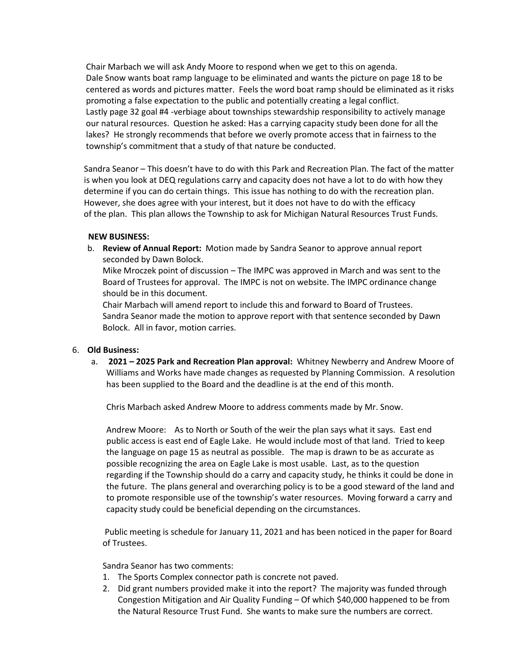Chair Marbach we will ask Andy Moore to respond when we get to this on agenda. Dale Snow wants boat ramp language to be eliminated and wants the picture on page 18 to be centered as words and pictures matter. Feels the word boat ramp should be eliminated as it risks promoting a false expectation to the public and potentially creating a legal conflict. Lastly page 32 goal #4 -verbiage about townships stewardship responsibility to actively manage our natural resources. Question he asked: Has a carrying capacity study been done for all the lakes? He strongly recommends that before we overly promote access that in fairness to the township's commitment that a study of that nature be conducted.

 Sandra Seanor – This doesn't have to do with this Park and Recreation Plan. The fact of the matter is when you look at DEQ regulations carry and capacity does not have a lot to do with how they determine if you can do certain things. This issue has nothing to do with the recreation plan. However, she does agree with your interest, but it does not have to do with the efficacy of the plan. This plan allows the Township to ask for Michigan Natural Resources Trust Funds.

## **NEW BUSINESS:**

b. **Review of Annual Report:** Motion made by Sandra Seanor to approve annual report seconded by Dawn Bolock.

Mike Mroczek point of discussion – The IMPC was approved in March and was sent to the Board of Trustees for approval. The IMPC is not on website. The IMPC ordinance change should be in this document.

Chair Marbach will amend report to include this and forward to Board of Trustees. Sandra Seanor made the motion to approve report with that sentence seconded by Dawn Bolock. All in favor, motion carries.

#### 6. **Old Business:**

a. **2021 – 2025 Park and Recreation Plan approval:** Whitney Newberry and Andrew Moore of Williams and Works have made changes as requested by Planning Commission. A resolution has been supplied to the Board and the deadline is at the end of this month.

Chris Marbach asked Andrew Moore to address comments made by Mr. Snow.

Andrew Moore: As to North or South of the weir the plan says what it says. East end public access is east end of Eagle Lake. He would include most of that land. Tried to keep the language on page 15 as neutral as possible. The map is drawn to be as accurate as possible recognizing the area on Eagle Lake is most usable. Last, as to the question regarding if the Township should do a carry and capacity study, he thinks it could be done in the future. The plans general and overarching policy is to be a good steward of the land and to promote responsible use of the township's water resources. Moving forward a carry and capacity study could be beneficial depending on the circumstances.

Public meeting is schedule for January 11, 2021 and has been noticed in the paper for Board of Trustees.

Sandra Seanor has two comments:

- 1. The Sports Complex connector path is concrete not paved.
- 2. Did grant numbers provided make it into the report? The majority was funded through Congestion Mitigation and Air Quality Funding – Of which \$40,000 happened to be from the Natural Resource Trust Fund. She wants to make sure the numbers are correct.